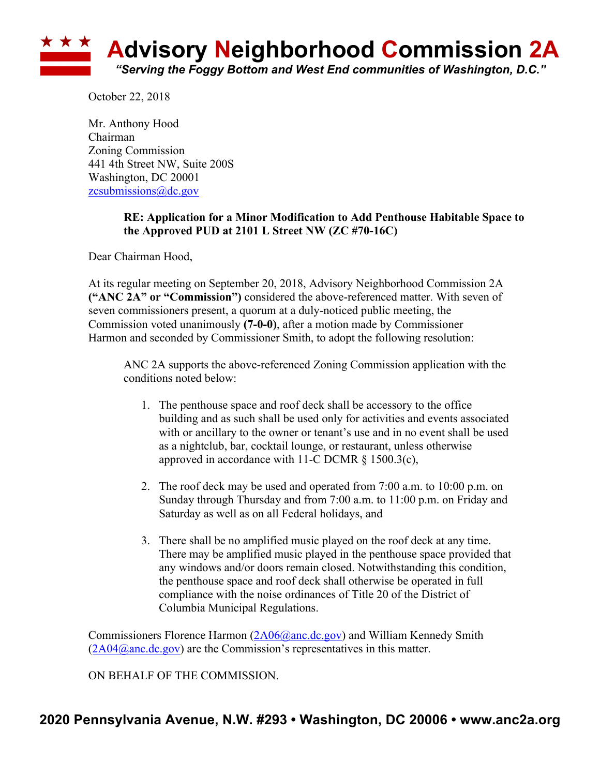

October 22, 2018

Mr. Anthony Hood Chairman Zoning Commission 441 4th Street NW, Suite 200S Washington, DC 20001 zcsubmissions@dc.gov

## **RE: Application for a Minor Modification to Add Penthouse Habitable Space to the Approved PUD at 2101 L Street NW (ZC #70-16C)**

Dear Chairman Hood,

At its regular meeting on September 20, 2018, Advisory Neighborhood Commission 2A **("ANC 2A" or "Commission")** considered the above-referenced matter. With seven of seven commissioners present, a quorum at a duly-noticed public meeting, the Commission voted unanimously **(7-0-0)**, after a motion made by Commissioner Harmon and seconded by Commissioner Smith, to adopt the following resolution:

ANC 2A supports the above-referenced Zoning Commission application with the conditions noted below:

- 1. The penthouse space and roof deck shall be accessory to the office building and as such shall be used only for activities and events associated with or ancillary to the owner or tenant's use and in no event shall be used as a nightclub, bar, cocktail lounge, or restaurant, unless otherwise approved in accordance with 11-C DCMR § 1500.3(c),
- 2. The roof deck may be used and operated from 7:00 a.m. to 10:00 p.m. on Sunday through Thursday and from 7:00 a.m. to 11:00 p.m. on Friday and Saturday as well as on all Federal holidays, and
- 3. There shall be no amplified music played on the roof deck at any time. There may be amplified music played in the penthouse space provided that any windows and/or doors remain closed. Notwithstanding this condition, the penthouse space and roof deck shall otherwise be operated in full compliance with the noise ordinances of Title 20 of the District of Columbia Municipal Regulations.

Commissioners Florence Harmon (2A06@anc.dc.gov) and William Kennedy Smith  $(2A04@anc.de.gov)$  are the Commission's representatives in this matter.

ON BEHALF OF THE COMMISSION.